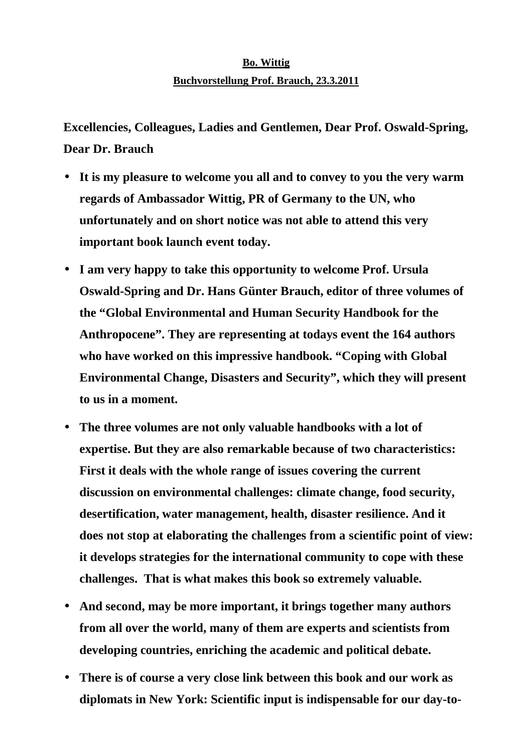## **Bo. Wittig Buchvorstellung Prof. Brauch, 23.3.2011**

**Excellencies, Colleagues, Ladies and Gentlemen, Dear Prof. Oswald-Spring, Dear Dr. Brauch** 

- **It is my pleasure to welcome you all and to convey to you the very warm regards of Ambassador Wittig, PR of Germany to the UN, who unfortunately and on short notice was not able to attend this very important book launch event today.**
- **I am very happy to take this opportunity to welcome Prof. Ursula Oswald-Spring and Dr. Hans Günter Brauch, editor of three volumes of the "Global Environmental and Human Security Handbook for the Anthropocene". They are representing at todays event the 164 authors who have worked on this impressive handbook. "Coping with Global Environmental Change, Disasters and Security", which they will present to us in a moment.**
- **The three volumes are not only valuable handbooks with a lot of expertise. But they are also remarkable because of two characteristics: First it deals with the whole range of issues covering the current discussion on environmental challenges: climate change, food security, desertification, water management, health, disaster resilience. And it does not stop at elaborating the challenges from a scientific point of view: it develops strategies for the international community to cope with these challenges. That is what makes this book so extremely valuable.**
- **And second, may be more important, it brings together many authors from all over the world, many of them are experts and scientists from developing countries, enriching the academic and political debate.**
- **There is of course a very close link between this book and our work as diplomats in New York: Scientific input is indispensable for our day-to-**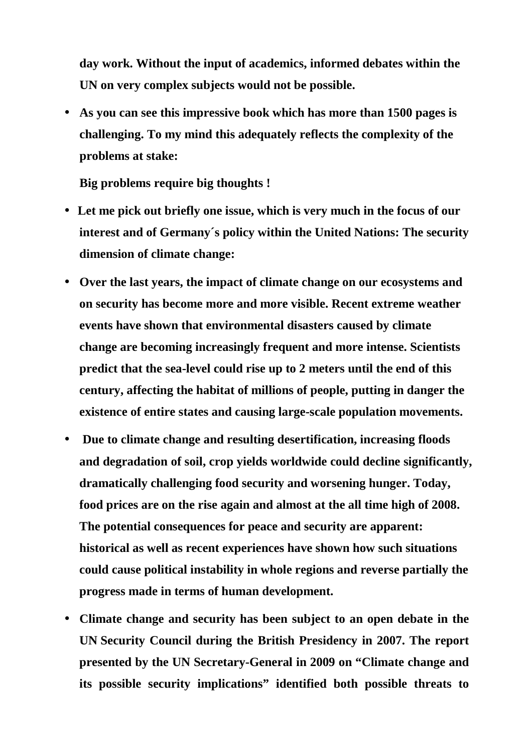**day work. Without the input of academics, informed debates within the UN on very complex subjects would not be possible.** 

• **As you can see this impressive book which has more than 1500 pages is challenging. To my mind this adequately reflects the complexity of the problems at stake:** 

**Big problems require big thoughts !** 

- • **Let me pick out briefly one issue, which is very much in the focus of our interest and of Germany´s policy within the United Nations: The security dimension of climate change:**
- **Over the last years, the impact of climate change on our ecosystems and on security has become more and more visible. Recent extreme weather events have shown that environmental disasters caused by climate change are becoming increasingly frequent and more intense. Scientists predict that the sea-level could rise up to 2 meters until the end of this century, affecting the habitat of millions of people, putting in danger the existence of entire states and causing large-scale population movements.**
- • **Due to climate change and resulting desertification, increasing floods and degradation of soil, crop yields worldwide could decline significantly, dramatically challenging food security and worsening hunger. Today, food prices are on the rise again and almost at the all time high of 2008. The potential consequences for peace and security are apparent: historical as well as recent experiences have shown how such situations could cause political instability in whole regions and reverse partially the progress made in terms of human development.**
- **Climate change and security has been subject to an open debate in the UN Security Council during the British Presidency in 2007. The report presented by the UN Secretary-General in 2009 on "Climate change and its possible security implications" identified both possible threats to**